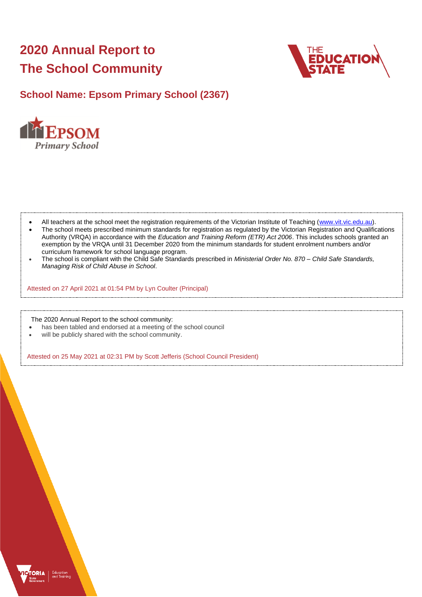# **2020 Annual Report to The School Community**



# **School Name: Epsom Primary School (2367)**



- All teachers at the school meet the registration requirements of the Victorian Institute of Teaching [\(www.vit.vic.edu.au\)](https://www.vit.vic.edu.au/).
- The school meets prescribed minimum standards for registration as regulated by the Victorian Registration and Qualifications Authority (VRQA) in accordance with the *Education and Training Reform (ETR) Act 2006*. This includes schools granted an exemption by the VRQA until 31 December 2020 from the minimum standards for student enrolment numbers and/or curriculum framework for school language program.
- The school is compliant with the Child Safe Standards prescribed in *Ministerial Order No. 870 – Child Safe Standards, Managing Risk of Child Abuse in School*.

Attested on 27 April 2021 at 01:54 PM by Lyn Coulter (Principal)

The 2020 Annual Report to the school community:

- has been tabled and endorsed at a meeting of the school council
- will be publicly shared with the school community.

Attested on 25 May 2021 at 02:31 PM by Scott Jefferis (School Council President)

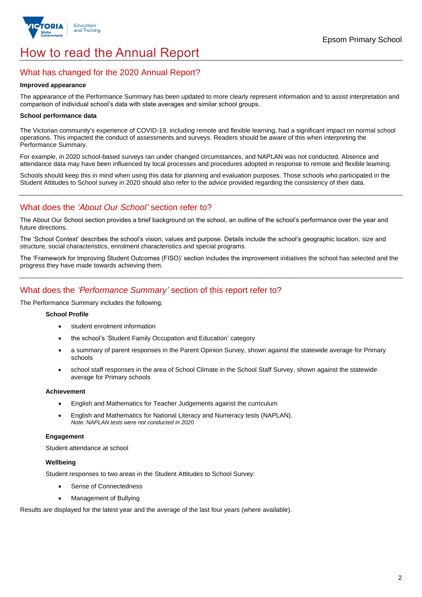

# How to read the Annual Report

### What has changed for the 2020 Annual Report?

#### **Improved appearance**

The appearance of the Performance Summary has been updated to more clearly represent information and to assist interpretation and comparison of individual school's data with state averages and similar school groups.

#### **School performance data**

The Victorian community's experience of COVID-19, including remote and flexible learning, had a significant impact on normal school operations. This impacted the conduct of assessments and surveys. Readers should be aware of this when interpreting the Performance Summary.

For example, in 2020 school-based surveys ran under changed circumstances, and NAPLAN was not conducted. Absence and attendance data may have been influenced by local processes and procedures adopted in response to remote and flexible learning.

Schools should keep this in mind when using this data for planning and evaluation purposes. Those schools who participated in the Student Attitudes to School survey in 2020 should also refer to the advice provided regarding the consistency of their data.

## What does the *'About Our School'* section refer to?

The About Our School section provides a brief background on the school, an outline of the school's performance over the year and future directions.

The 'School Context' describes the school's vision, values and purpose. Details include the school's geographic location, size and structure, social characteristics, enrolment characteristics and special programs.

The 'Framework for Improving Student Outcomes (FISO)' section includes the improvement initiatives the school has selected and the progress they have made towards achieving them.

## What does the *'Performance Summary'* section of this report refer to?

The Performance Summary includes the following:

#### **School Profile**

- student enrolment information
- the school's 'Student Family Occupation and Education' category
- a summary of parent responses in the Parent Opinion Survey, shown against the statewide average for Primary schools
- school staff responses in the area of School Climate in the School Staff Survey, shown against the statewide average for Primary schools

#### **Achievement**

- English and Mathematics for Teacher Judgements against the curriculum
- English and Mathematics for National Literacy and Numeracy tests (NAPLAN). *Note: NAPLAN tests were not conducted in 2020*

#### **Engagement**

Student attendance at school

#### **Wellbeing**

Student responses to two areas in the Student Attitudes to School Survey:

- Sense of Connectedness
- Management of Bullying

Results are displayed for the latest year and the average of the last four years (where available).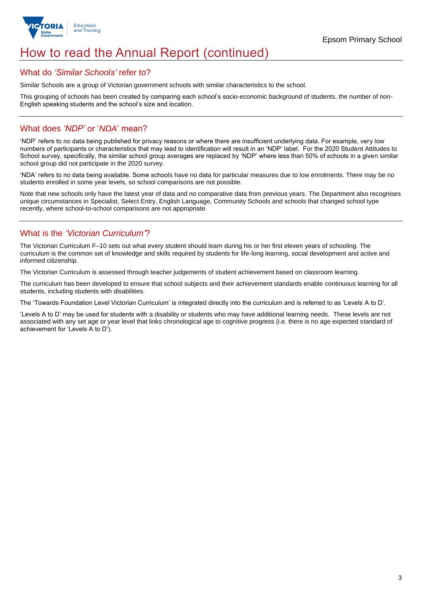

# How to read the Annual Report (continued)

#### What do *'Similar Schools'* refer to?

Similar Schools are a group of Victorian government schools with similar characteristics to the school.

This grouping of schools has been created by comparing each school's socio-economic background of students, the number of non-English speaking students and the school's size and location.

### What does *'NDP'* or '*NDA*' mean?

'NDP' refers to no data being published for privacy reasons or where there are insufficient underlying data. For example, very low numbers of participants or characteristics that may lead to identification will result in an 'NDP' label. For the 2020 Student Attitudes to School survey, specifically, the similar school group averages are replaced by 'NDP' where less than 50% of schools in a given similar school group did not participate in the 2020 survey.

'NDA' refers to no data being available. Some schools have no data for particular measures due to low enrolments. There may be no students enrolled in some year levels, so school comparisons are not possible.

Note that new schools only have the latest year of data and no comparative data from previous years. The Department also recognises unique circumstances in Specialist, Select Entry, English Language, Community Schools and schools that changed school type recently, where school-to-school comparisons are not appropriate.

# What is the *'Victorian Curriculum'*?

The Victorian Curriculum F–10 sets out what every student should learn during his or her first eleven years of schooling. The curriculum is the common set of knowledge and skills required by students for life-long learning, social development and active and informed citizenship.

The Victorian Curriculum is assessed through teacher judgements of student achievement based on classroom learning.

The curriculum has been developed to ensure that school subjects and their achievement standards enable continuous learning for all students, including students with disabilities.

The 'Towards Foundation Level Victorian Curriculum' is integrated directly into the curriculum and is referred to as 'Levels A to D'.

'Levels A to D' may be used for students with a disability or students who may have additional learning needs. These levels are not associated with any set age or year level that links chronological age to cognitive progress (i.e. there is no age expected standard of achievement for 'Levels A to D').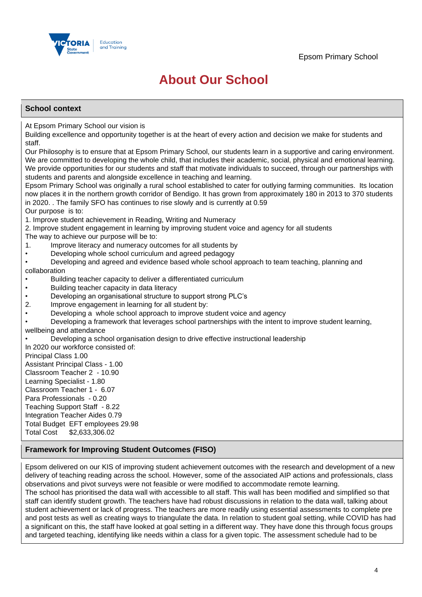

# **About Our School**

#### **School context**

At Epsom Primary School our vision is

Building excellence and opportunity together is at the heart of every action and decision we make for students and staff.

Our Philosophy is to ensure that at Epsom Primary School, our students learn in a supportive and caring environment. We are committed to developing the whole child, that includes their academic, social, physical and emotional learning. We provide opportunities for our students and staff that motivate individuals to succeed, through our partnerships with students and parents and alongside excellence in teaching and learning.

Epsom Primary School was originally a rural school established to cater for outlying farming communities. Its location now places it in the northern growth corridor of Bendigo. It has grown from approximately 180 in 2013 to 370 students in 2020. . The family SFO has continues to rise slowly and is currently at 0.59

#### Our purpose is to:

1. Improve student achievement in Reading, Writing and Numeracy

2. Improve student engagement in learning by improving student voice and agency for all students

The way to achieve our purpose will be to:

- 1. Improve literacy and numeracy outcomes for all students by
- Developing whole school curriculum and agreed pedagogy

• Developing and agreed and evidence based whole school approach to team teaching, planning and collaboration

- Building teacher capacity to deliver a differentiated curriculum
- Building teacher capacity in data literacy
- Developing an organisational structure to support strong PLC's
- 2. Improve engagement in learning for all student by:
- Developing a whole school approach to improve student voice and agency

• Developing a framework that leverages school partnerships with the intent to improve student learning, wellbeing and attendance

• Developing a school organisation design to drive effective instructional leadership

In 2020 our workforce consisted of: Principal Class 1.00 Assistant Principal Class - 1.00 Classroom Teacher 2 - 10.90 Learning Specialist - 1.80 Classroom Teacher 1 - 6.07 Para Professionals - 0.20 Teaching Support Staff - 8.22 Integration Teacher Aides 0.79 Total Budget EFT employees 29.98 Total Cost \$2,633,306.02

#### **Framework for Improving Student Outcomes (FISO)**

Epsom delivered on our KIS of improving student achievement outcomes with the research and development of a new delivery of teaching reading across the school. However, some of the associated AIP actions and professionals, class observations and pivot surveys were not feasible or were modified to accommodate remote learning.

The school has prioritised the data wall with accessible to all staff. This wall has been modified and simplified so that staff can identify student growth. The teachers have had robust discussions in relation to the data wall, talking about student achievement or lack of progress. The teachers are more readily using essential assessments to complete pre and post tests as well as creating ways to triangulate the data. In relation to student goal setting, while COVID has had a significant on this, the staff have looked at goal setting in a different way. They have done this through focus groups and targeted teaching, identifying like needs within a class for a given topic. The assessment schedule had to be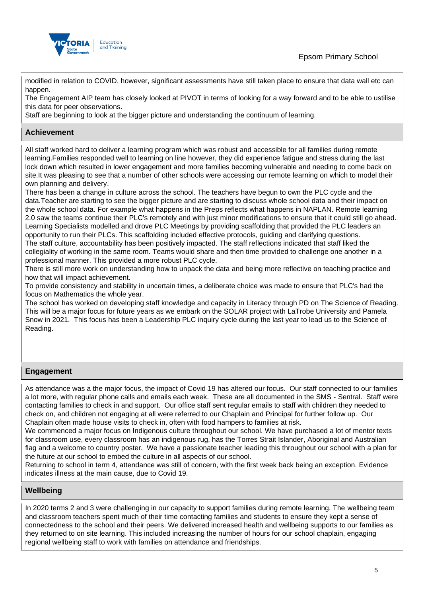

# Epsom Primary School

modified in relation to COVID, however, significant assessments have still taken place to ensure that data wall etc can happen.

The Engagement AIP team has closely looked at PIVOT in terms of looking for a way forward and to be able to ustilise this data for peer observations.

Staff are beginning to look at the bigger picture and understanding the continuum of learning.

### **Achievement**

All staff worked hard to deliver a learning program which was robust and accessible for all families during remote learning.Families responded well to learning on line however, they did experience fatigue and stress during the last lock down which resulted in lower engagement and more families becoming vulnerable and needing to come back on site.It was pleasing to see that a number of other schools were accessing our remote learning on which to model their own planning and delivery.

There has been a change in culture across the school. The teachers have begun to own the PLC cycle and the data.Teacher are starting to see the bigger picture and are starting to discuss whole school data and their impact on the whole school data. For example what happens in the Preps reflects what happens in NAPLAN. Remote learning 2.0 saw the teams continue their PLC's remotely and with just minor modifications to ensure that it could still go ahead. Learning Specialists modelled and drove PLC Meetings by providing scaffolding that provided the PLC leaders an opportunity to run their PLCs. This scaffolding included effective protocols, guiding and clarifying questions. The staff culture, accountability has been positively impacted. The staff reflections indicated that staff liked the collegiality of working in the same room. Teams would share and then time provided to challenge one another in a professional manner. This provided a more robust PLC cycle.

There is still more work on understanding how to unpack the data and being more reflective on teaching practice and how that will impact achievement.

To provide consistency and stability in uncertain times, a deliberate choice was made to ensure that PLC's had the focus on Mathematics the whole year.

The school has worked on developing staff knowledge and capacity in Literacy through PD on The Science of Reading. This will be a major focus for future years as we embark on the SOLAR project with LaTrobe University and Pamela Snow in 2021. This focus has been a Leadership PLC inquiry cycle during the last year to lead us to the Science of Reading.

#### **Engagement**

As attendance was a the major focus, the impact of Covid 19 has altered our focus. Our staff connected to our families a lot more, with regular phone calls and emails each week. These are all documented in the SMS - Sentral. Staff were contacting families to check in and support. Our office staff sent regular emails to staff with children they needed to check on, and children not engaging at all were referred to our Chaplain and Principal for further follow up. Our Chaplain often made house visits to check in, often with food hampers to families at risk.

We commenced a major focus on Indigenous culture throughout our school. We have purchased a lot of mentor texts for classroom use, every classroom has an indigenous rug, has the Torres Strait Islander, Aboriginal and Australian flag and a welcome to country poster. We have a passionate teacher leading this throughout our school with a plan for the future at our school to embed the culture in all aspects of our school.

Returning to school in term 4, attendance was still of concern, with the first week back being an exception. Evidence indicates illness at the main cause, due to Covid 19.

#### **Wellbeing**

In 2020 terms 2 and 3 were challenging in our capacity to support families during remote learning. The wellbeing team and classroom teachers spent much of their time contacting families and students to ensure they kept a sense of connectedness to the school and their peers. We delivered increased health and wellbeing supports to our families as they returned to on site learning. This included increasing the number of hours for our school chaplain, engaging regional wellbeing staff to work with families on attendance and friendships.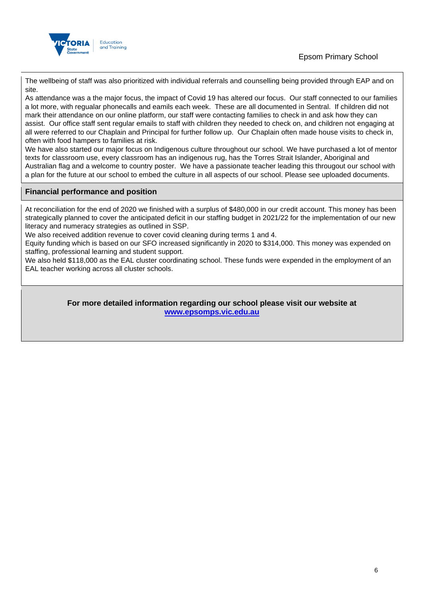

The wellbeing of staff was also prioritized with individual referrals and counselling being provided through EAP and on site.

As attendance was a the major focus, the impact of Covid 19 has altered our focus. Our staff connected to our families a lot more, with regualar phonecalls and eamils each week. These are all documented in Sentral. If children did not mark their attendance on our online platform, our staff were contacting families to check in and ask how they can assist. Our office staff sent regular emails to staff with children they needed to check on, and children not engaging at all were referred to our Chaplain and Principal for further follow up. Our Chaplain often made house visits to check in, often with food hampers to families at risk.

We have also started our major focus on Indigenous culture throughout our school. We have purchased a lot of mentor texts for classroom use, every classroom has an indigenous rug, has the Torres Strait Islander, Aboriginal and Australian flag and a welcome to country poster. We have a passionate teacher leading this througout our school with a plan for the future at our school to embed the culture in all aspects of our school. Please see uploaded documents.

#### **Financial performance and position**

At reconciliation for the end of 2020 we finished with a surplus of \$480,000 in our credit account. This money has been strategically planned to cover the anticipated deficit in our staffing budget in 2021/22 for the implementation of our new literacy and numeracy strategies as outlined in SSP.

We also received addition revenue to cover covid cleaning during terms 1 and 4.

Equity funding which is based on our SFO increased significantly in 2020 to \$314,000. This money was expended on staffing, professional learning and student support.

We also held \$118,000 as the EAL cluster coordinating school. These funds were expended in the employment of an EAL teacher working across all cluster schools.

> **For more detailed information regarding our school please visit our website at <www.epsomps.vic.edu.au>**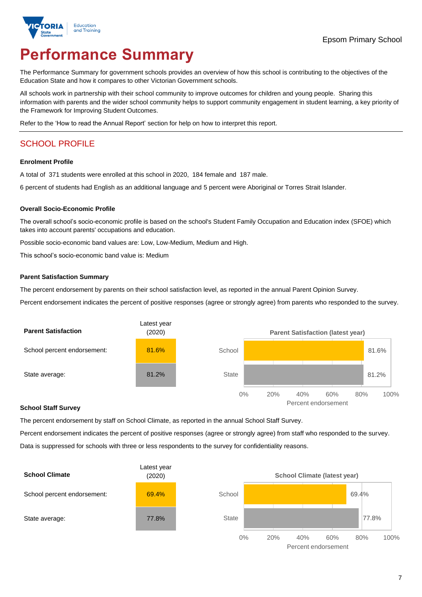

# **Performance Summary**

The Performance Summary for government schools provides an overview of how this school is contributing to the objectives of the Education State and how it compares to other Victorian Government schools.

All schools work in partnership with their school community to improve outcomes for children and young people. Sharing this information with parents and the wider school community helps to support community engagement in student learning, a key priority of the Framework for Improving Student Outcomes.

Refer to the 'How to read the Annual Report' section for help on how to interpret this report.

# SCHOOL PROFILE

#### **Enrolment Profile**

A total of 371 students were enrolled at this school in 2020, 184 female and 187 male.

6 percent of students had English as an additional language and 5 percent were Aboriginal or Torres Strait Islander.

#### **Overall Socio-Economic Profile**

The overall school's socio-economic profile is based on the school's Student Family Occupation and Education index (SFOE) which takes into account parents' occupations and education.

Possible socio-economic band values are: Low, Low-Medium, Medium and High.

This school's socio-economic band value is: Medium

#### **Parent Satisfaction Summary**

The percent endorsement by parents on their school satisfaction level, as reported in the annual Parent Opinion Survey.

Percent endorsement indicates the percent of positive responses (agree or strongly agree) from parents who responded to the survey.



#### **School Staff Survey**

The percent endorsement by staff on School Climate, as reported in the annual School Staff Survey.

Percent endorsement indicates the percent of positive responses (agree or strongly agree) from staff who responded to the survey. Data is suppressed for schools with three or less respondents to the survey for confidentiality reasons.



Percent endorsement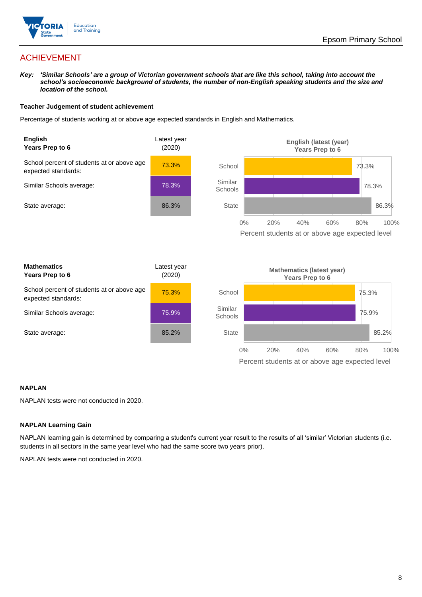

# ACHIEVEMENT

*Key: 'Similar Schools' are a group of Victorian government schools that are like this school, taking into account the school's socioeconomic background of students, the number of non-English speaking students and the size and location of the school.*

#### **Teacher Judgement of student achievement**

Percentage of students working at or above age expected standards in English and Mathematics.



#### **NAPLAN**

NAPLAN tests were not conducted in 2020.

#### **NAPLAN Learning Gain**

NAPLAN learning gain is determined by comparing a student's current year result to the results of all 'similar' Victorian students (i.e. students in all sectors in the same year level who had the same score two years prior).

NAPLAN tests were not conducted in 2020.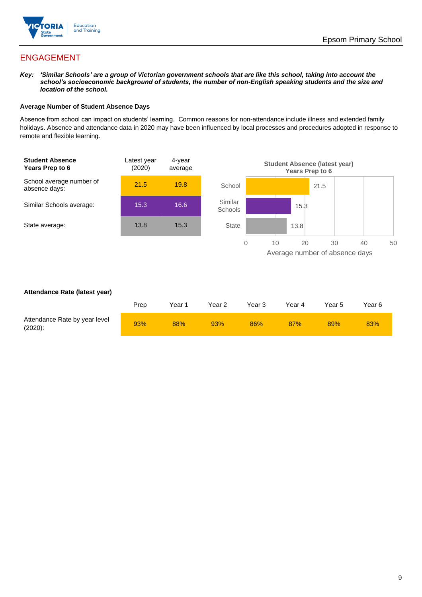

# ENGAGEMENT

*Key: 'Similar Schools' are a group of Victorian government schools that are like this school, taking into account the school's socioeconomic background of students, the number of non-English speaking students and the size and location of the school.*

#### **Average Number of Student Absence Days**

Absence from school can impact on students' learning. Common reasons for non-attendance include illness and extended family holidays. Absence and attendance data in 2020 may have been influenced by local processes and procedures adopted in response to remote and flexible learning.



#### **Attendance Rate (latest year)**

|                                             | Prep | Year 1 | Year 2 | Year 3 | Year 4 | Year 5 | Year 6 |
|---------------------------------------------|------|--------|--------|--------|--------|--------|--------|
| Attendance Rate by year level<br>$(2020)$ : | 93%  | 88%    | 93%    | 86%    | 87%    | 89%    | 83%    |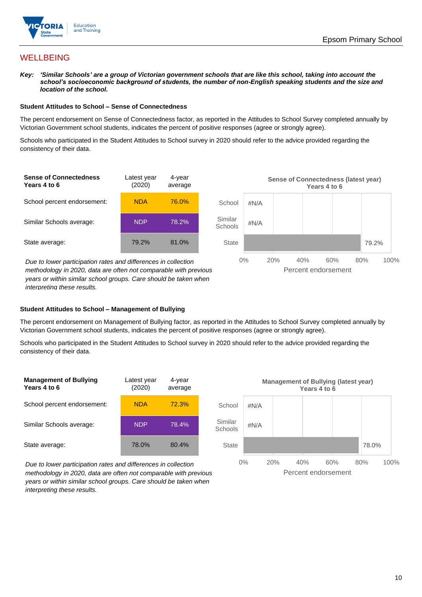

## **WELLBEING**

*Key: 'Similar Schools' are a group of Victorian government schools that are like this school, taking into account the school's socioeconomic background of students, the number of non-English speaking students and the size and location of the school.*

#### **Student Attitudes to School – Sense of Connectedness**

The percent endorsement on Sense of Connectedness factor, as reported in the Attitudes to School Survey completed annually by Victorian Government school students, indicates the percent of positive responses (agree or strongly agree).

Schools who participated in the Student Attitudes to School survey in 2020 should refer to the advice provided regarding the consistency of their data.



*years or within similar school groups. Care should be taken when interpreting these results.*

#### **Student Attitudes to School – Management of Bullying**

The percent endorsement on Management of Bullying factor, as reported in the Attitudes to School Survey completed annually by Victorian Government school students, indicates the percent of positive responses (agree or strongly agree).

Schools who participated in the Student Attitudes to School survey in 2020 should refer to the advice provided regarding the consistency of their data.



*Due to lower participation rates and differences in collection methodology in 2020, data are often not comparable with previous years or within similar school groups. Care should be taken when interpreting these results.*

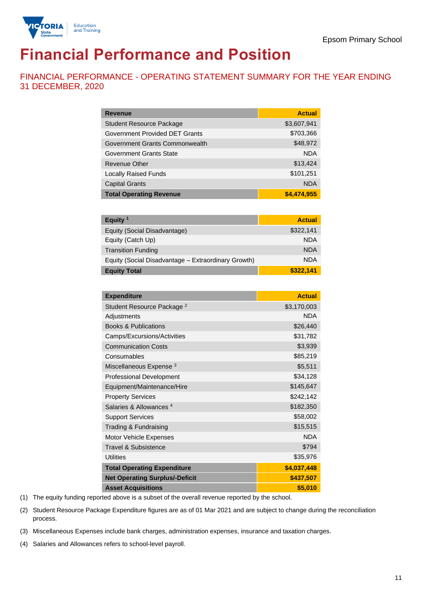

# **Financial Performance and Position**

FINANCIAL PERFORMANCE - OPERATING STATEMENT SUMMARY FOR THE YEAR ENDING 31 DECEMBER, 2020

| <b>Revenue</b>                  | <b>Actual</b> |
|---------------------------------|---------------|
| <b>Student Resource Package</b> | \$3,607,941   |
| Government Provided DET Grants  | \$703,366     |
| Government Grants Commonwealth  | \$48,972      |
| Government Grants State         | <b>NDA</b>    |
| Revenue Other                   | \$13,424      |
| <b>Locally Raised Funds</b>     | \$101,251     |
| <b>Capital Grants</b>           | <b>NDA</b>    |
| <b>Total Operating Revenue</b>  | \$4,474,955   |

| Equity <sup>1</sup>                                 | <b>Actual</b> |
|-----------------------------------------------------|---------------|
| Equity (Social Disadvantage)                        | \$322,141     |
| Equity (Catch Up)                                   | <b>NDA</b>    |
| <b>Transition Funding</b>                           | <b>NDA</b>    |
| Equity (Social Disadvantage - Extraordinary Growth) | <b>NDA</b>    |
| <b>Equity Total</b>                                 | \$322.141     |

| <b>Expenditure</b>                    | <b>Actual</b> |
|---------------------------------------|---------------|
| Student Resource Package <sup>2</sup> | \$3,170,003   |
| Adjustments                           | <b>NDA</b>    |
| <b>Books &amp; Publications</b>       | \$26,440      |
| Camps/Excursions/Activities           | \$31,782      |
| <b>Communication Costs</b>            | \$3,939       |
| Consumables                           | \$85,219      |
| Miscellaneous Expense <sup>3</sup>    | \$5,511       |
| <b>Professional Development</b>       | \$34,128      |
| Equipment/Maintenance/Hire            | \$145,647     |
| <b>Property Services</b>              | \$242,142     |
| Salaries & Allowances <sup>4</sup>    | \$182,350     |
| <b>Support Services</b>               | \$58,002      |
| Trading & Fundraising                 | \$15,515      |
| Motor Vehicle Expenses                | <b>NDA</b>    |
| Travel & Subsistence                  | \$794         |
| <b>Utilities</b>                      | \$35,976      |
| <b>Total Operating Expenditure</b>    | \$4,037,448   |
| <b>Net Operating Surplus/-Deficit</b> | \$437,507     |
| <b>Asset Acquisitions</b>             | \$5,010       |

(1) The equity funding reported above is a subset of the overall revenue reported by the school.

(2) Student Resource Package Expenditure figures are as of 01 Mar 2021 and are subject to change during the reconciliation process.

(3) Miscellaneous Expenses include bank charges, administration expenses, insurance and taxation charges.

(4) Salaries and Allowances refers to school-level payroll.